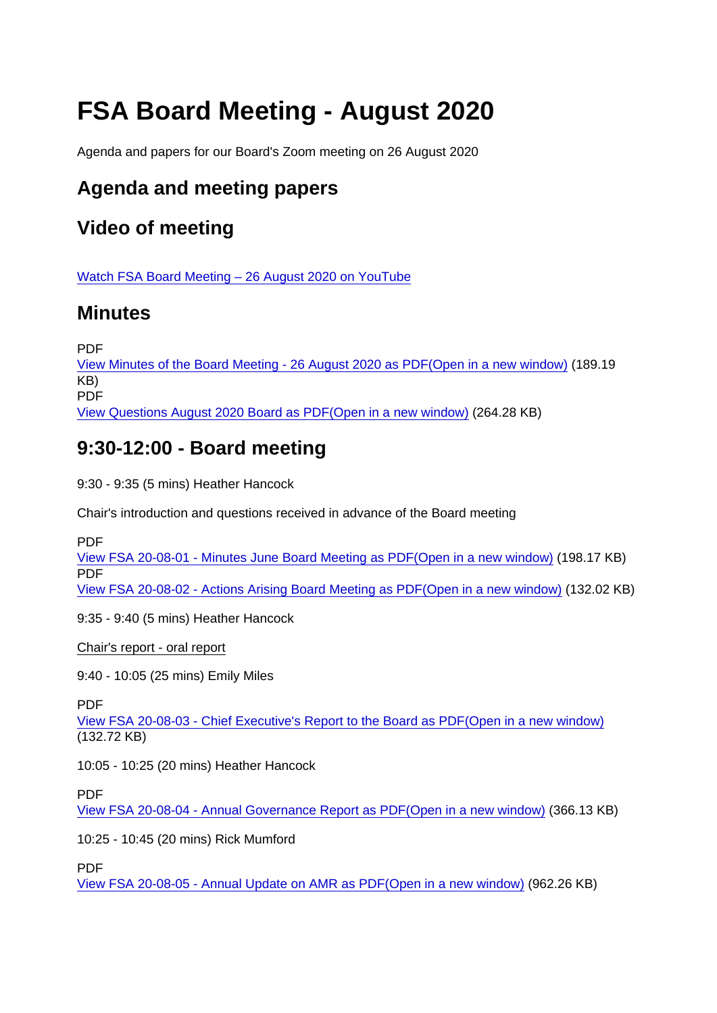# FSA Board Meeting - August 2020

Agenda and papers for our Board's Zoom meeting on 26 August 2020

# Agenda and meeting papers

# Video of meeting

[Watch FSA Board Meeting – 26 August 2020 on YouTube](https://youtu.be/tV6zSiGw-1M)

### **Minutes**

PDF

[View Minutes of the Board Meeting - 26 August 2020 as PDF\(Open in a new window\)](https://www.food.gov.uk/sites/default/files/media/document/minutes-of-the-board-meeting-26-august-2020.pdf) (189.19 KB) PDF

[View Questions August 2020 Board as PDF\(Open in a new window\)](https://www.food.gov.uk/sites/default/files/media/document/questions-august-2020-board.pdf) (264.28 KB)

# 9:30-12:00 - Board meeting

9:30 - 9:35 (5 mins) Heather Hancock

Chair's introduction and questions received in advance of the Board meeting

PDF

[View FSA 20-08-01 - Minutes June Board Meeting as PDF\(Open in a new window\)](https://www.food.gov.uk/sites/default/files/media/document/fsa-20-08-01-minutes-june-board-meeting.pdf) (198.17 KB) PDF [View FSA 20-08-02 - Actions Arising Board Meeting as PDF\(Open in a new window\)](https://www.food.gov.uk/sites/default/files/media/document/fsa-20-08-02-actions-arising-board-meeting.pdf) (132.02 KB)

9:35 - 9:40 (5 mins) Heather Hancock

Chair's report - oral report

9:40 - 10:05 (25 mins) Emily Miles

PDF

[View FSA 20-08-03 - Chief Executive's Report to the Board as PDF\(Open in a new window\)](https://www.food.gov.uk/sites/default/files/media/document/fsa-20-08-03-ceo-report-final_0.pdf) (132.72 KB)

10:05 - 10:25 (20 mins) Heather Hancock

PDF

[View FSA 20-08-04 - Annual Governance Report as PDF\(Open in a new window\)](https://www.food.gov.uk/sites/default/files/media/document/fsa-20-08-04-annual-governance-report.pdf) (366.13 KB)

10:25 - 10:45 (20 mins) Rick Mumford

PDF

[View FSA 20-08-05 - Annual Update on AMR as PDF\(Open in a new window\)](https://www.food.gov.uk/sites/default/files/media/document/fsa-20-08-05-annual-update-on-amr.pdf) (962.26 KB)